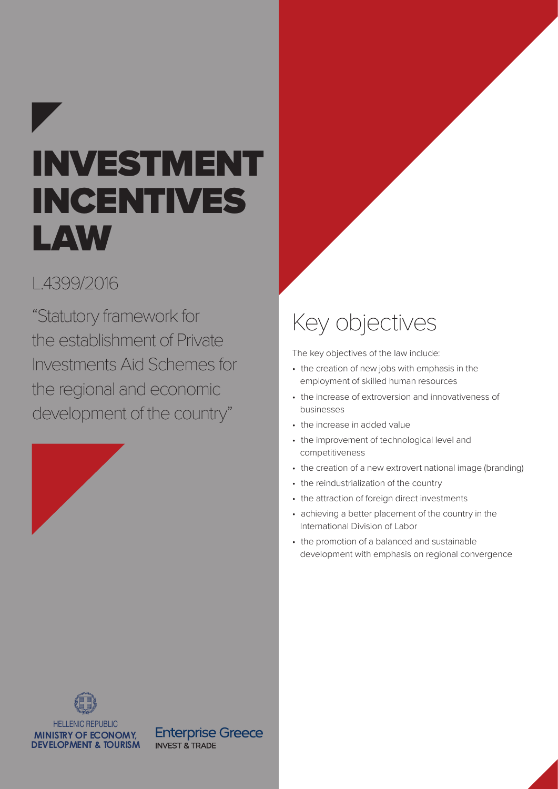# INVESTMENT INCENTIVES LAW

### L.4399/2016

"Statutory framework for the establishment of Private Investments Aid Schemes for the regional and economic development of the country"



# Key objectives

The key objectives of the law include:

- the creation of new jobs with emphasis in the employment of skilled human resources
- the increase of extroversion and innovativeness of businesses
- the increase in added value
- the improvement of technological level and competitiveness
- the creation of a new extrovert national image (branding)
- the reindustrialization of the country
- the attraction of foreign direct investments
- achieving a better placement of the country in the International Division οf Labor
- the promotion of a balanced and sustainable development with emphasis on regional convergence



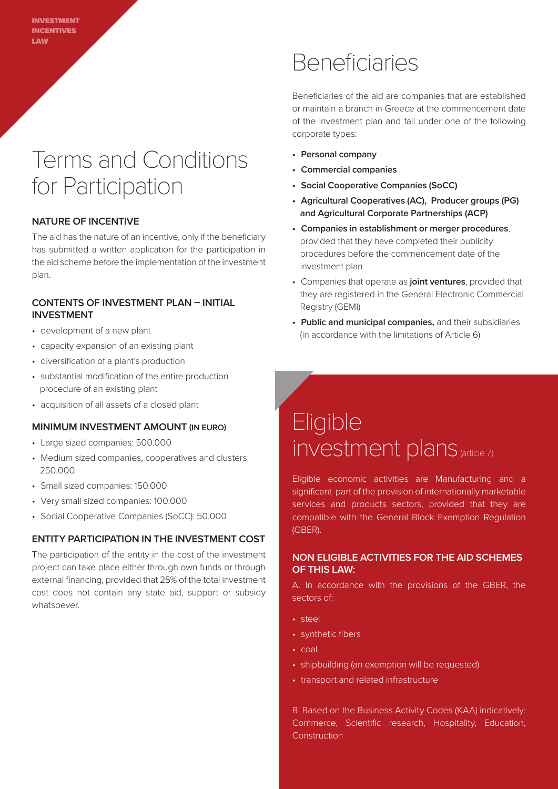### Terms and Conditions for Participation

#### **NATURE OF INCENTIVE**

The aid has the nature of an incentive, only if the beneficiary has submitted a written application for the participation in the aid scheme before the implementation of the investment plan.

#### **CONTENTS OF INVESTMENT PLAN – INITIAL INVESTMENT**

- development of a new plant
- capacity expansion of an existing plant
- diversification of a plant's production
- substantial modification of the entire production procedure of an existing plant
- acquisition of all assets of a closed plant

#### **MINIMUM INVESTMENT AMOUNT (IN EURO)**

- Large sized companies: 500.000
- Medium sized companies, cooperatives and clusters: 250.000
- Small sized companies: 150.000
- Very small sized companies: 100.000
- Social Cooperative Companies (SoCC): 50.000

#### **ENTITY PARTICIPATION IN THE INVESTMENT COST**

The participation of the entity in the cost of the investment project can take place either through own funds or through external financing, provided that 25% of the total investment cost does not contain any state aid, support or subsidy whatsoever.

### Beneficiaries

Beneficiaries of the aid are companies that are established or maintain a branch in Greece at the commencement date of the investment plan and fall under one of the following corporate types:

- **• Personal company**
- **• Commercial companies**
- **• Social Cooperative Companies (SoCC)**
- **• Agricultural Cooperatives (AC), Producer groups (PG) and Agricultural Corporate Partnerships (ACP)**
- **• Companies in establishment or merger procedures**, provided that they have completed their publicity procedures before the commencement date of the investment plan
- Companies that operate as **joint ventures**, provided that they are registered in the General Electronic Commercial Registry (GEMI)
- **• Public and municipal companies,** and their subsidiaries (in accordance with the limitations of Article 6)

### **Eligible** investment plans (article 7)

Eligible economic activities are Manufacturing and a significant part of the provision of internationally marketable services and products sectors, provided that they are compatible with the General Block Exemption Regulation (GBER).

#### **NON ELIGIBLE ACTIVITIES FOR THE AID SCHEMES OF THIS LAW:**

A. In accordance with the provisions of the GBER, the sectors of:

- steel
- synthetic fibers
- coal
- shipbuilding (an exemption will be requested)
- transport and related infrastructure

B. Based on the Business Activity Codes (ΚΑΔ) indicatively: Commerce, Scientific research, Hospitality, Education, **Construction**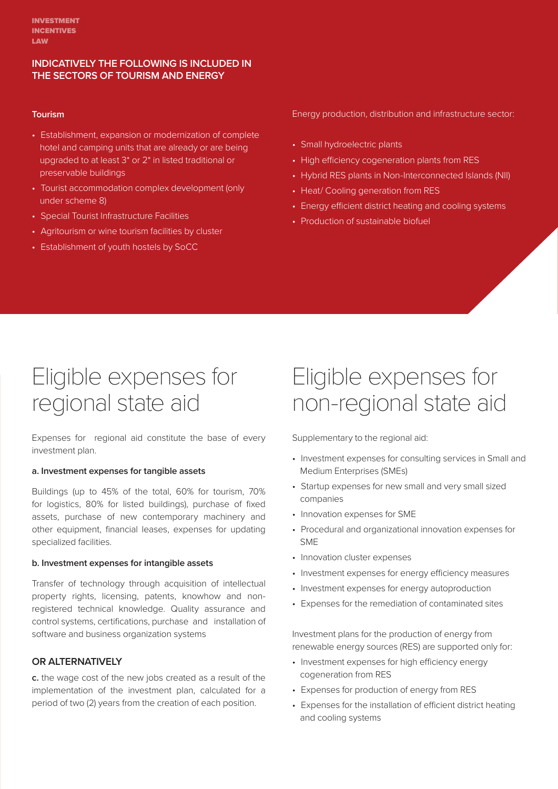#### **INDICATIVELY THE FOLLOWING IS INCLUDED IN THE SECTORS OF TOURISM AND ENERGY**

#### **Tourism**

- Establishment, expansion or modernization of complete hotel and camping units that are already or are being upgraded to at least 3\* or 2\* in listed traditional or preservable buildings
- Tourist accommodation complex development (only under scheme 8)
- Special Tourist Infrastructure Facilities
- Agritourism or wine tourism facilities by cluster
- Establishment of youth hostels by SoCC

Energy production, distribution and infrastructure sector:

- Small hydroelectric plants
- High efficiency cogeneration plants from RES
- Hybrid RES plants in Non-Interconnected Islands (NII)
- Heat/ Cooling generation from RES
- Energy efficient district heating and cooling systems
- Production of sustainable biofuel

### Eligible expenses for regional state aid

Expenses for regional aid constitute the base of every investment plan.

#### **a. Investment expenses for tangible assets**

Buildings (up to 45% of the total, 60% for tourism, 70% for logistics, 80% for listed buildings), purchase of fixed assets, purchase of new contemporary machinery and other equipment, financial leases, expenses for updating specialized facilities.

#### **b. Investment expenses for intangible assets**

Transfer of technology through acquisition of intellectual property rights, licensing, patents, knowhow and nonregistered technical knowledge. Quality assurance and control systems, certifications, purchase and installation of software and business organization systems

#### **OR ALTERNATIVELY**

**c.** the wage cost of the new jobs created as a result of the implementation of the investment plan, calculated for a period of two (2) years from the creation of each position.

### Eligible expenses for non-regional state aid

Supplementary to the regional aid:

- Investment expenses for consulting services in Small and Medium Enterprises (SMEs)
- Startup expenses for new small and very small sized companies
- Innovation expenses for SME
- Procedural and organizational innovation expenses for SME
- Innovation cluster expenses
- Investment expenses for energy efficiency measures
- Investment expenses for energy autoproduction
- Expenses for the remediation of contaminated sites

Investment plans for the production of energy from renewable energy sources (RES) are supported only for:

- Investment expenses for high efficiency energy cogeneration from RES
- Expenses for production of energy from RES
- Expenses for the installation of efficient district heating and cooling systems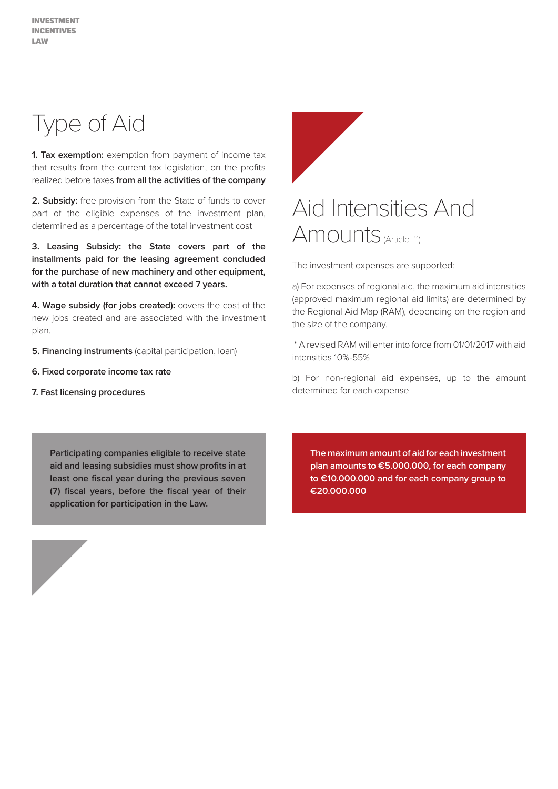Type of Aid

**1. Tax exemption:** exemption from payment of income tax that results from the current tax legislation, on the profits realized before taxes **from all the activities of the company**

**2. Subsidy:** free provision from the State of funds to cover part of the eligible expenses of the investment plan, determined as a percentage of the total investment cost

**3. Leasing Subsidy: the State covers part of the installments paid for the leasing agreement concluded for the purchase of new machinery and other equipment, with a total duration that cannot exceed 7 years.** 

**4. Wage subsidy (for jobs created):** covers the cost of the new jobs created and are associated with the investment plan.

**5. Financing instruments** (capital participation, loan)

- **6. Fixed corporate income tax rate**
- **7. Fast licensing procedures**



The investment expenses are supported:

a) For expenses of regional aid, the maximum aid intensities (approved maximum regional aid limits) are determined by the Regional Aid Map (RAM), depending on the region and the size of the company.

 \* A revised RAM will enter into force from 01/01/2017 with aid intensities 10%-55%

b) For non-regional aid expenses, up to the amount determined for each expense

**Participating companies eligible to receive state aid and leasing subsidies must show profits in at least one fiscal year during the previous seven (7) fiscal years, before the fiscal year of their application for participation in the Law.**

**The maximum amount of aid for each investment plan amounts to €5.000.000, for each company to €10.000.000 and for each company group to €20.000.000**

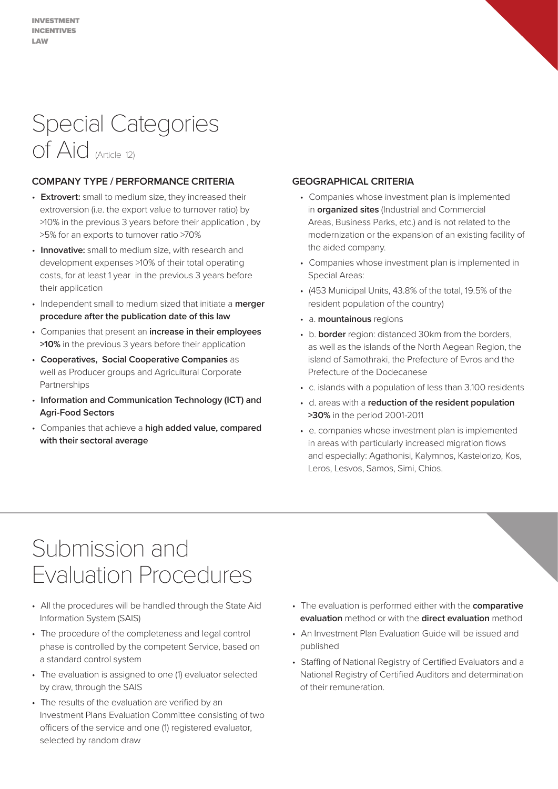# Special Categories of Aid (Article 12)

#### **COMPANY TYPE / PERFORMANCE CRITERIA**

- **Extrovert:** small to medium size, they increased their extroversion (i.e. the export value to turnover ratio) by >10% in the previous 3 years before their application , by >5% for an exports to turnover ratio >70%
- **Innovative:** small to medium size, with research and development expenses >10% of their total operating costs, for at least 1 year in the previous 3 years before their application
- Independent small to medium sized that initiate a **merger procedure after the publication date of this law**
- Companies that present an **increase in their employees >10%** in the previous 3 years before their application
- **Cooperatives, Social Cooperative Companies** as well as Producer groups and Agricultural Corporate Partnerships
- **Information and Communication Technology (ICT) and Agri-Food Sectors**
- Companies that achieve a **high added value, compared with their sectoral average**

#### **GEOGRAPHICAL CRITERIA**

- Companies whose investment plan is implemented in **organized sites** (Industrial and Commercial Areas, Business Parks, etc.) and is not related to the modernization or the expansion of an existing facility of the aided company.
- Companies whose investment plan is implemented in Special Areas:
- (453 Municipal Units, 43.8% of the total, 19.5% of the resident population of the country)
- a. **mountainous** regions
- b. **border** region: distanced 30km from the borders, as well as the islands of the North Aegean Region, the island of Samothraki, the Prefecture of Evros and the Prefecture of the Dodecanese
- c. islands with a population of less than 3.100 residents
- d. areas with a **reduction of the resident population >30%** in the period 2001-2011
- e. companies whose investment plan is implemented in areas with particularly increased migration flows and especially: Agathonisi, Kalymnos, Kastelorizo, Kos, Leros, Lesvos, Samos, Simi, Chios.

### Submission and Evaluation Procedures

- All the procedures will be handled through the State Aid Information System (SAIS)
- The procedure of the completeness and legal control phase is controlled by the competent Service, based on a standard control system
- The evaluation is assigned to one (1) evaluator selected by draw, through the SAIS
- The results of the evaluation are verified by an Investment Plans Evaluation Committee consisting of two officers of the service and one (1) registered evaluator, selected by random draw
- The evaluation is performed either with the **comparative evaluation** method or with the **direct evaluation** method
- An Investment Plan Evaluation Guide will be issued and published
- Staffing of National Registry of Certified Evaluators and a National Registry of Certified Auditors and determination of their remuneration.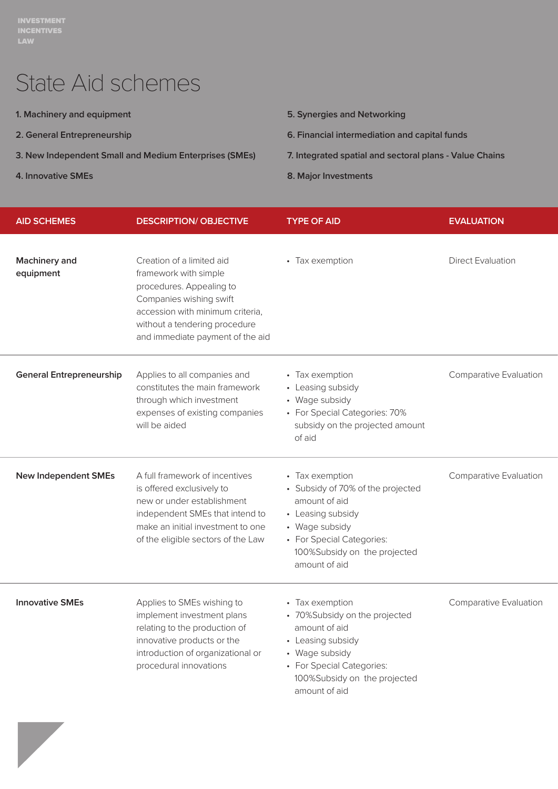# State Aid schemes

- **1. Machinery and equipment**
- **2. General Entrepreneurship**
- **3. New Independent Small and Medium Enterprises (SMEs)**
- **4. Innovative SMEs**

- **5. Synergies and Networking**
- **6. Financial intermediation and capital funds**
- **7. Integrated spatial and sectoral plans Value Chains**
- **8. Major Investments**

| <b>AID SCHEMES</b>                | <b>DESCRIPTION/ OBJECTIVE</b>                                                                                                                                                                                      | <b>TYPE OF AID</b>                                                                                                                                                                         | <b>EVALUATION</b>             |
|-----------------------------------|--------------------------------------------------------------------------------------------------------------------------------------------------------------------------------------------------------------------|--------------------------------------------------------------------------------------------------------------------------------------------------------------------------------------------|-------------------------------|
| <b>Machinery and</b><br>equipment | Creation of a limited aid<br>framework with simple<br>procedures. Appealing to<br>Companies wishing swift<br>accession with minimum criteria,<br>without a tendering procedure<br>and immediate payment of the aid | • Tax exemption                                                                                                                                                                            | <b>Direct Evaluation</b>      |
| <b>General Entrepreneurship</b>   | Applies to all companies and<br>constitutes the main framework<br>through which investment<br>expenses of existing companies<br>will be aided                                                                      | • Tax exemption<br>• Leasing subsidy<br>• Wage subsidy<br>• For Special Categories: 70%<br>subsidy on the projected amount<br>of aid                                                       | <b>Comparative Evaluation</b> |
| <b>New Independent SMEs</b>       | A full framework of incentives<br>is offered exclusively to<br>new or under establishment<br>independent SMEs that intend to<br>make an initial investment to one<br>of the eligible sectors of the Law            | • Tax exemption<br>• Subsidy of 70% of the projected<br>amount of aid<br>• Leasing subsidy<br>• Wage subsidy<br>• For Special Categories:<br>100%Subsidy on the projected<br>amount of aid | <b>Comparative Evaluation</b> |
| <b>Innovative SMEs</b>            | Applies to SMEs wishing to<br>implement investment plans<br>relating to the production of<br>innovative products or the<br>introduction of organizational or<br>procedural innovations                             | • Tax exemption<br>• 70%Subsidy on the projected<br>amount of aid<br>• Leasing subsidy<br>• Wage subsidy<br>• For Special Categories:<br>100%Subsidy on the projected<br>amount of aid     | <b>Comparative Evaluation</b> |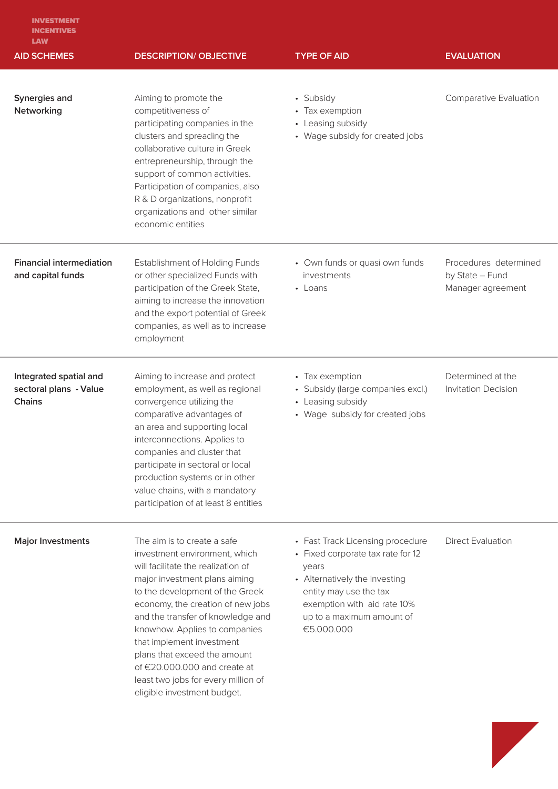| <b>INVESTMENT</b> |
|-------------------|
| <b>INCENTIVES</b> |
| <b>LAW</b>        |

| <b>AID SCHEMES</b>                                                | <b>DESCRIPTION/ OBJECTIVE</b>                                                                                                                                                                                                                                                                                                                                                                                                                        | <b>TYPE OF AID</b>                                                                                                                                                                                                  | <b>EVALUATION</b>                                             |
|-------------------------------------------------------------------|------------------------------------------------------------------------------------------------------------------------------------------------------------------------------------------------------------------------------------------------------------------------------------------------------------------------------------------------------------------------------------------------------------------------------------------------------|---------------------------------------------------------------------------------------------------------------------------------------------------------------------------------------------------------------------|---------------------------------------------------------------|
| Synergies and<br>Networking                                       | Aiming to promote the<br>competitiveness of<br>participating companies in the<br>clusters and spreading the<br>collaborative culture in Greek<br>entrepreneurship, through the<br>support of common activities.<br>Participation of companies, also<br>R & D organizations, nonprofit<br>organizations and other similar<br>economic entities                                                                                                        | • Subsidy<br>• Tax exemption<br>• Leasing subsidy<br>• Wage subsidy for created jobs                                                                                                                                | Comparative Evaluation                                        |
| <b>Financial intermediation</b><br>and capital funds              | <b>Establishment of Holding Funds</b><br>or other specialized Funds with<br>participation of the Greek State,<br>aiming to increase the innovation<br>and the export potential of Greek<br>companies, as well as to increase<br>employment                                                                                                                                                                                                           | • Own funds or quasi own funds<br>investments<br>• Loans                                                                                                                                                            | Procedures determined<br>by State - Fund<br>Manager agreement |
| Integrated spatial and<br>sectoral plans - Value<br><b>Chains</b> | Aiming to increase and protect<br>employment, as well as regional<br>convergence utilizing the<br>comparative advantages of<br>an area and supporting local<br>interconnections. Applies to<br>companies and cluster that<br>participate in sectoral or local<br>production systems or in other<br>value chains, with a mandatory<br>participation of at least 8 entities                                                                            | • Tax exemption<br>· Subsidy (large companies excl.)<br>• Leasing subsidy<br>• Wage subsidy for created jobs                                                                                                        | Determined at the<br><b>Invitation Decision</b>               |
| <b>Major Investments</b>                                          | The aim is to create a safe<br>investment environment, which<br>will facilitate the realization of<br>major investment plans aiming<br>to the development of the Greek<br>economy, the creation of new jobs<br>and the transfer of knowledge and<br>knowhow. Applies to companies<br>that implement investment<br>plans that exceed the amount<br>of €20.000.000 and create at<br>least two jobs for every million of<br>eligible investment budget. | • Fast Track Licensing procedure<br>• Fixed corporate tax rate for 12<br>years<br>• Alternatively the investing<br>entity may use the tax<br>exemption with aid rate 10%<br>up to a maximum amount of<br>€5.000.000 | <b>Direct Evaluation</b>                                      |